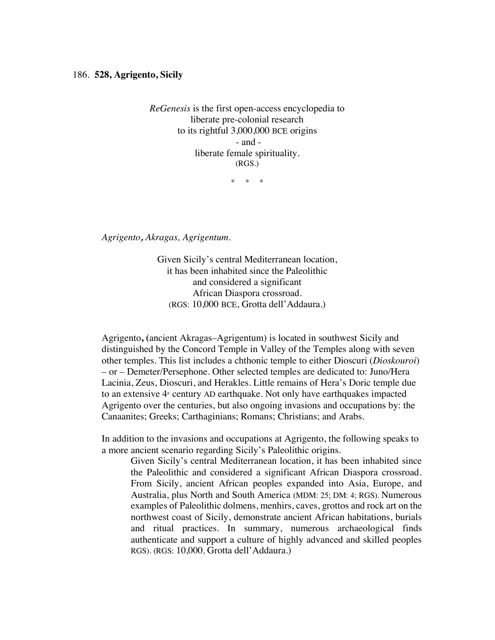*ReGenesis* is the first open-access encyclopedia to liberate pre-colonial research to its rightful 3,000,000 BCE origins - and liberate female spirituality. (RGS.)

\* \* \*

*Agrigento, Akragas, Agrigentum.*

Given Sicily's central Mediterranean location, it has been inhabited since the Paleolithic and considered a significant African Diaspora crossroad. (RGS: 10,000 BCE, Grotta dell'Addaura.)

Agrigento**, (**ancient Akragas–Agrigentum) is located in southwest Sicily and distinguished by the Concord Temple in Valley of the Temples along with seven other temples. This list includes a chthonic temple to either Dioscuri (*Dioskouroi*) – or – Demeter/Persephone. Other selected temples are dedicated to: Juno/Hera Lacinia, Zeus, Dioscuri, and Herakles. Little remains of Hera's Doric temple due to an extensive 4<sup>th</sup> century AD earthquake. Not only have earthquakes impacted Agrigento over the centuries, but also ongoing invasions and occupations by: the Canaanites; Greeks; Carthaginians; Romans; Christians; and Arabs.

In addition to the invasions and occupations at Agrigento, the following speaks to a more ancient scenario regarding Sicily's Paleolithic origins.

Given Sicily's central Mediterranean location, it has been inhabited since the Paleolithic and considered a significant African Diaspora crossroad. From Sicily, ancient African peoples expanded into Asia, Europe, and Australia, plus North and South America (MDM: 25; DM: 4; RGS). Numerous examples of Paleolithic dolmens, menhirs, caves, grottos and rock art on the northwest coast of Sicily, demonstrate ancient African habitations, burials and ritual practices. In summary, numerous archaeological finds authenticate and support a culture of highly advanced and skilled peoples RGS). (RGS: 10,000, Grotta dell'Addaura.)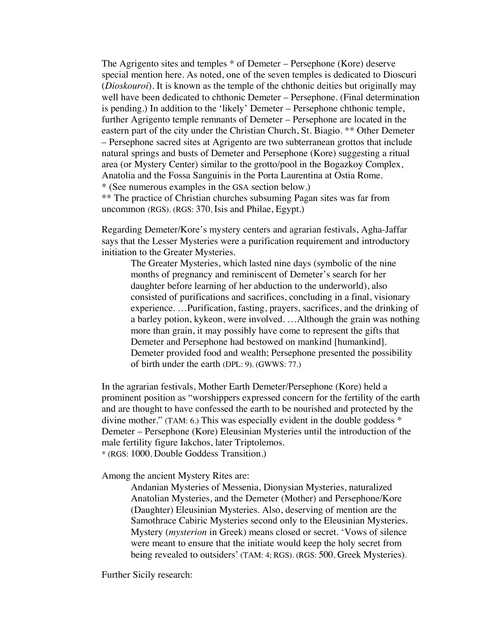The Agrigento sites and temples \* of Demeter – Persephone (Kore) deserve special mention here. As noted, one of the seven temples is dedicated to Dioscuri (*Dioskouroi*). It is known as the temple of the chthonic deities but originally may well have been dedicated to chthonic Demeter – Persephone. (Final determination is pending.) In addition to the 'likely' Demeter – Persephone chthonic temple, further Agrigento temple remnants of Demeter – Persephone are located in the eastern part of the city under the Christian Church, St. Biagio. \*\* Other Demeter – Persephone sacred sites at Agrigento are two subterranean grottos that include natural springs and busts of Demeter and Persephone (Kore) suggesting a ritual area (or Mystery Center) similar to the grotto/pool in the Bogazkoy Complex, Anatolia and the Fossa Sanguinis in the Porta Laurentina at Ostia Rome. \* (See numerous examples in the GSA section below.) \*\* The practice of Christian churches subsuming Pagan sites was far from uncommon (RGS). (RGS: 370, Isis and Philae, Egypt.)

Regarding Demeter/Kore's mystery centers and agrarian festivals, Agha-Jaffar says that the Lesser Mysteries were a purification requirement and introductory initiation to the Greater Mysteries.

The Greater Mysteries, which lasted nine days (symbolic of the nine months of pregnancy and reminiscent of Demeter's search for her daughter before learning of her abduction to the underworld), also consisted of purifications and sacrifices, concluding in a final, visionary experience. …Purification, fasting, prayers, sacrifices, and the drinking of a barley potion, kykeon, were involved. …Although the grain was nothing more than grain, it may possibly have come to represent the gifts that Demeter and Persephone had bestowed on mankind [humankind]. Demeter provided food and wealth; Persephone presented the possibility of birth under the earth (DPL: 9). (GWWS: 77.)

In the agrarian festivals, Mother Earth Demeter/Persephone (Kore) held a prominent position as "worshippers expressed concern for the fertility of the earth and are thought to have confessed the earth to be nourished and protected by the divine mother." (TAM: 6.) This was especially evident in the double goddess \* Demeter – Persephone (Kore) Eleusinian Mysteries until the introduction of the male fertility figure Iakchos, later Triptolemos. \* (RGS: 1000, Double Goddess Transition.)

Among the ancient Mystery Rites are:

Andanian Mysteries of Messenia, Dionysian Mysteries, naturalized Anatolian Mysteries, and the Demeter (Mother) and Persephone/Kore (Daughter) Eleusinian Mysteries. Also, deserving of mention are the Samothrace Cabiric Mysteries second only to the Eleusinian Mysteries. Mystery (*mysterion* in Greek) means closed or secret. 'Vows of silence were meant to ensure that the initiate would keep the holy secret from being revealed to outsiders' (TAM: 4; RGS). (RGS: 500, Greek Mysteries).

Further Sicily research: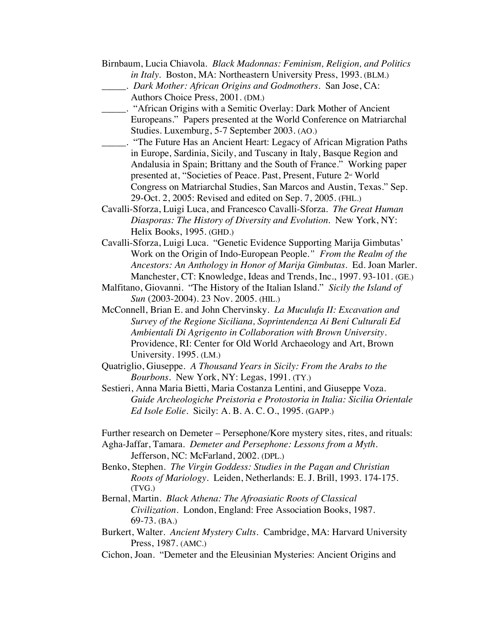- Birnbaum, Lucia Chiavola. *Black Madonnas: Feminism, Religion, and Politics in Italy.* Boston, MA: Northeastern University Press, 1993. (BLM.)
	- \_\_\_\_\_. *Dark Mother: African Origins and Godmothers*. San Jose, CA: Authors Choice Press, 2001. (DM.)
- \_\_\_\_\_. "African Origins with a Semitic Overlay: Dark Mother of Ancient Europeans." Papers presented at the World Conference on Matriarchal Studies. Luxemburg, 5-7 September 2003. (AO.)
- \_\_\_\_\_. "The Future Has an Ancient Heart: Legacy of African Migration Paths in Europe, Sardinia, Sicily, and Tuscany in Italy, Basque Region and Andalusia in Spain; Brittany and the South of France." Working paper presented at, "Societies of Peace. Past, Present, Future 2<sup>nd</sup> World Congress on Matriarchal Studies, San Marcos and Austin, Texas." Sep. 29-Oct. 2, 2005: Revised and edited on Sep. 7, 2005. (FHL.)
- Cavalli-Sforza, Luigi Luca, and Francesco Cavalli-Sforza. *The Great Human Diasporas: The History of Diversity and Evolution*. New York, NY: Helix Books, 1995. (GHD.)
- Cavalli-Sforza, Luigi Luca. "Genetic Evidence Supporting Marija Gimbutas' Work on the Origin of Indo-European People*." From the Realm of the Ancestors: An Anthology in Honor of Marija Gimbutas*. Ed. Joan Marler. Manchester, CT: Knowledge, Ideas and Trends, Inc., 1997. 93-101. (GE.)
- Malfitano, Giovanni. "The History of the Italian Island." *Sicily the Island of Sun* (2003-2004). 23 Nov. 2005. (HIL.)
- McConnell, Brian E. and John Chervinsky. *La Muculufa II: Excavation and Survey of the Regione Siciliana, Soprintendenza Ai Beni Culturali Ed Ambientali Di Agrigento in Collaboration with Brown University*. Providence, RI: Center for Old World Archaeology and Art, Brown University. 1995. (LM.)
- Quatriglio, Giuseppe. *A Thousand Years in Sicily: From the Arabs to the Bourbons*. New York, NY: Legas, 1991. (TY.)
- Sestieri, Anna Maria Bietti, Maria Costanza Lentini, and Giuseppe Voza. *Guide Archeologiche Preistoria e Protostoria in Italia: Sicilia Orientale Ed Isole Eolie.* Sicily: A. B. A. C. O., 1995. (GAPP.)
- Further research on Demeter Persephone/Kore mystery sites, rites, and rituals:
- Agha-Jaffar, Tamara. *Demeter and Persephone: Lessons from a Myth*. Jefferson, NC: McFarland, 2002. (DPL.)
- Benko, Stephen. *The Virgin Goddess: Studies in the Pagan and Christian Roots of Mariology*. Leiden, Netherlands: E. J. Brill, 1993. 174-175. (TVG.)
- Bernal, Martin. *Black Athena: The Afroasiatic Roots of Classical Civilization*. London, England: Free Association Books, 1987. 69-73. (BA.)
- Burkert, Walter. *Ancient Mystery Cults.* Cambridge, MA: Harvard University Press, 1987. (AMC.)
- Cichon, Joan. "Demeter and the Eleusinian Mysteries: Ancient Origins and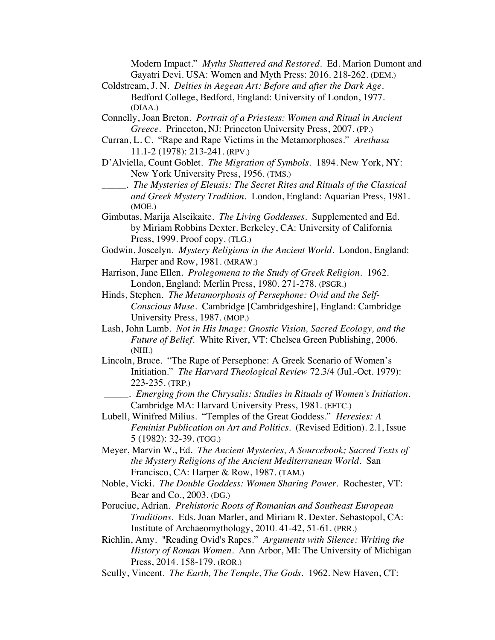Modern Impact." *Myths Shattered and Restored*. Ed. Marion Dumont and Gayatri Devi. USA: Women and Myth Press: 2016. 218-262. (DEM.)

- Coldstream, J. N. *Deities in Aegean Art: Before and after the Dark Age*. Bedford College, Bedford, England: University of London, 1977. (DIAA.)
- Connelly, Joan Breton. *Portrait of a Priestess: Women and Ritual in Ancient Greece.* Princeton, NJ: Princeton University Press, 2007. (PP.)
- Curran, L. C. "Rape and Rape Victims in the Metamorphoses." *Arethusa* 11.1-2 (1978): 213-241. (RPV.)
- D'Alviella, Count Goblet. *The Migration of Symbols.* 1894. New York, NY: New York University Press, 1956. (TMS.)
- \_\_\_\_\_. *The Mysteries of Eleusis: The Secret Rites and Rituals of the Classical and Greek Mystery Tradition.* London, England: Aquarian Press, 1981. (MOE.)
- Gimbutas, Marija Alseikaite. *The Living Goddesses*. Supplemented and Ed. by Miriam Robbins Dexter. Berkeley, CA: University of California Press, 1999. Proof copy. (TLG.)
- Godwin, Joscelyn. *Mystery Religions in the Ancient World*. London, England: Harper and Row, 1981. (MRAW.)
- Harrison, Jane Ellen. *Prolegomena to the Study of Greek Religion*. 1962. London, England: Merlin Press, 1980. 271-278. (PSGR.)
- Hinds, Stephen. *The Metamorphosis of Persephone: Ovid and the Self-Conscious Muse*. Cambridge [Cambridgeshire], England: Cambridge University Press, 1987. (MOP.)
- Lash, John Lamb. *Not in His Image: Gnostic Vision, Sacred Ecology, and the Future of Belief.* White River, VT: Chelsea Green Publishing, 2006. (NHI.)
- Lincoln, Bruce. "The Rape of Persephone: A Greek Scenario of Women's Initiation." *The Harvard Theological Review* 72.3/4 (Jul.-Oct. 1979): 223-235. (TRP.)
	- \_\_\_\_\_. *Emerging from the Chrysalis: Studies in Rituals of Women's Initiation.* Cambridge MA: Harvard University Press, 1981. (EFTC.)
- Lubell, Winifred Milius. "Temples of the Great Goddess." *Heresies: A Feminist Publication on Art and Politics.* (Revised Edition). 2.1, Issue 5 (1982): 32-39. (TGG.)
- Meyer, Marvin W., Ed. *The Ancient Mysteries, A Sourcebook; Sacred Texts of the Mystery Religions of the Ancient Mediterranean World*. San Francisco, CA: Harper & Row, 1987. (TAM.)
- Noble, Vicki. *The Double Goddess: Women Sharing Power*. Rochester, VT: Bear and Co., 2003. (DG.)
- Poruciuc, Adrian. *Prehistoric Roots of Romanian and Southeast European Traditions*. Eds. Joan Marler, and Miriam R. Dexter. Sebastopol, CA: Institute of Archaeomythology, 2010. 41-42, 51-61. (PRR.)
- Richlin, Amy. "Reading Ovid's Rapes." *Arguments with Silence: Writing the History of Roman Women*. Ann Arbor, MI: The University of Michigan Press, 2014. 158-179. (ROR.)
- Scully, Vincent. *The Earth, The Temple, The Gods*. 1962. New Haven, CT: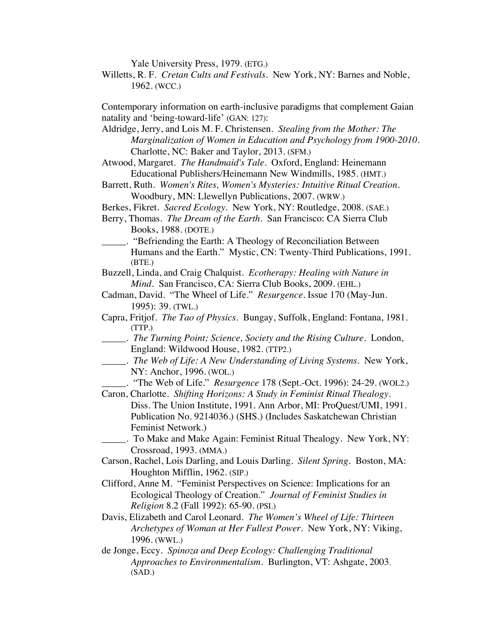Yale University Press, 1979. (ETG.)

Willetts, R. F. *Cretan Cults and Festivals*. New York, NY: Barnes and Noble, 1962. (WCC.)

Contemporary information on earth-inclusive paradigms that complement Gaian natality and 'being-toward-life' (GAN: 127):

- Aldridge, Jerry, and Lois M. F. Christensen. *Stealing from the Mother: The Marginalization of Women in Education and Psychology from 1900-2010*. Charlotte, NC: Baker and Taylor, 2013. (SFM.)
- Atwood, Margaret. *The Handmaid's Tale*. Oxford, England: Heinemann Educational Publishers/Heinemann New Windmills, 1985. (HMT.)
- Barrett, Ruth. *Women's Rites, Women's Mysteries: Intuitive Ritual Creation*. Woodbury, MN: Llewellyn Publications, 2007. (WRW.)
- Berkes, Fikret. *Sacred Ecology*. New York, NY: Routledge, 2008. (SAE.)
- Berry, Thomas. *The Dream of the Earth*. San Francisco: CA Sierra Club Books, 1988. (DOTE.)
- **EXECUTE:** "Befriending the Earth: A Theology of Reconciliation Between Humans and the Earth." Mystic, CN: Twenty-Third Publications, 1991. (BTE.)
- Buzzell, Linda, and Craig Chalquist. *Ecotherapy: Healing with Nature in Mind.* San Francisco, CA: Sierra Club Books, 2009. (EHL.)
- Cadman, David. "The Wheel of Life." *Resurgence*. Issue 170 (May-Jun. 1995): 39. (TWL.)
- Capra, Fritjof. *The Tao of Physics*. Bungay, Suffolk, England: Fontana, 1981. (TTP.)
- \_\_\_\_\_. *The Turning Point; Science, Society and the Rising Culture*. London, England: Wildwood House, 1982. (TTP2.)
- \_\_\_\_\_. *The Web of Life: A New Understanding of Living Systems*. New York, NY: Anchor, 1996. (WOL.)
	- \_\_\_\_\_. "The Web of Life." *Resurgence* 178 (Sept.-Oct. 1996): 24-29. (WOL2.)
- Caron, Charlotte. *Shifting Horizons: A Study in Feminist Ritual Thealogy*. Diss. The Union Institute, 1991. Ann Arbor, MI: ProQuest/UMI, 1991. Publication No. 9214036.) (SHS.) (Includes Saskatchewan Christian Feminist Network.)
- \_\_\_\_\_. To Make and Make Again: Feminist Ritual Thealogy. New York, NY: Crossroad, 1993. (MMA.)
- Carson, Rachel, Lois Darling, and Louis Darling. *Silent Spring.* Boston, MA: Houghton Mifflin, 1962. (SIP.)
- Clifford, Anne M. "Feminist Perspectives on Science: Implications for an Ecological Theology of Creation." *Journal of Feminist Studies in Religion* 8.2 (Fall 1992): 65-90. (PSI.)
- Davis, Elizabeth and Carol Leonard. *The Women's Wheel of Life: Thirteen Archetypes of Woman at Her Fullest Power.* New York, NY: Viking, 1996. (WWL.)
- de Jonge, Eccy. *Spinoza and Deep Ecology: Challenging Traditional Approaches to Environmentalism.* Burlington, VT: Ashgate, 2003. (SAD.)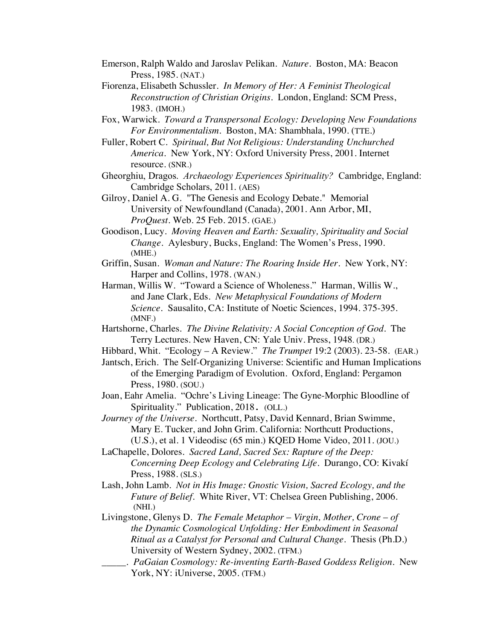- Emerson, Ralph Waldo and Jaroslav Pelikan. *Nature*. Boston, MA: Beacon Press, 1985. (NAT.)
- Fiorenza, Elisabeth Schussler. *In Memory of Her: A Feminist Theological Reconstruction of Christian Origins*. London, England: SCM Press, 1983. (IMOH.)
- Fox, Warwick. *Toward a Transpersonal Ecology: Developing New Foundations For Environmentalism*. Boston, MA: Shambhala, 1990. (TTE.)
- Fuller, Robert C. *Spiritual, But Not Religious: Understanding Unchurched America*. New York, NY: Oxford University Press, 2001. Internet resource. (SNR.)
- Gheorghiu, Dragos. *Archaeology Experiences Spirituality?* Cambridge, England: Cambridge Scholars, 2011. (AES)
- Gilroy, Daniel A. G. "The Genesis and Ecology Debate." Memorial University of Newfoundland (Canada), 2001. Ann Arbor, MI, *ProQuest.* Web. 25 Feb. 2015. (GAE.)
- Goodison, Lucy. *Moving Heaven and Earth: Sexuality, Spirituality and Social Change*. Aylesbury, Bucks, England: The Women's Press, 1990. (MHE.)
- Griffin, Susan. *Woman and Nature: The Roaring Inside Her*. New York, NY: Harper and Collins, 1978. (WAN.)
- Harman, Willis W. "Toward a Science of Wholeness." Harman, Willis W., and Jane Clark, Eds. *New Metaphysical Foundations of Modern Science.* Sausalito, CA: Institute of Noetic Sciences, 1994. 375-395. (MNF.)
- Hartshorne, Charles. *The Divine Relativity: A Social Conception of God*. The Terry Lectures. New Haven, CN: Yale Univ. Press, 1948. (DR.)
- Hibbard, Whit. "Ecology A Review." *The Trumpet* 19:2 (2003). 23-58. (EAR.)
- Jantsch, Erich. The Self-Organizing Universe: Scientific and Human Implications of the Emerging Paradigm of Evolution. Oxford, England: Pergamon Press, 1980. (SOU.)
- Joan, Eahr Amelia. "Ochre's Living Lineage: The Gyne-Morphic Bloodline of Spirituality." Publication, 2018. (OLL.)
- *Journey of the Universe*. Northcutt, Patsy, David Kennard, Brian Swimme, Mary E. Tucker, and John Grim. California: Northcutt Productions, (U.S.), et al. 1 Videodisc (65 min.) KQED Home Video, 2011. (JOU.)
- LaChapelle, Dolores. *Sacred Land, Sacred Sex: Rapture of the Deep: Concerning Deep Ecology and Celebrating Life*. Durango, CO: Kivakí Press, 1988. (SLS.)
- Lash, John Lamb. *Not in His Image: Gnostic Vision, Sacred Ecology, and the Future of Belief.* White River, VT: Chelsea Green Publishing, 2006. (NHI.)
- Livingstone, Glenys D. *The Female Metaphor Virgin, Mother, Crone of the Dynamic Cosmological Unfolding: Her Embodiment in Seasonal Ritual as a Catalyst for Personal and Cultural Change*. Thesis (Ph.D.) University of Western Sydney, 2002. (TFM.)
- \_\_\_\_\_. *PaGaian Cosmology: Re-inventing Earth-Based Goddess Religion.* New York, NY: iUniverse, 2005. (TFM.)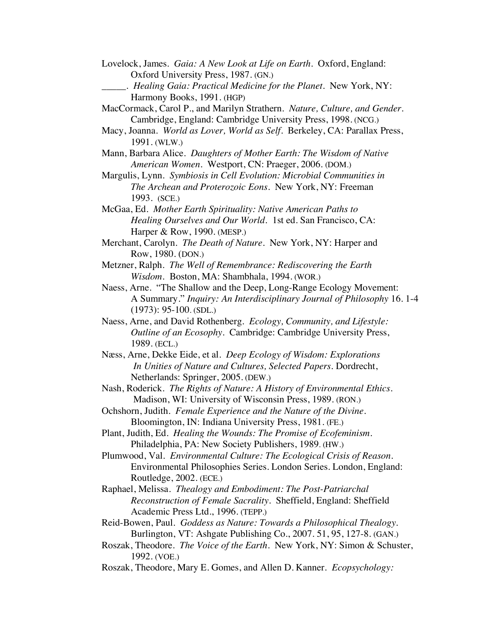- Lovelock, James. *Gaia: A New Look at Life on Earth*. Oxford, England: Oxford University Press, 1987. (GN.)
	- \_\_\_\_\_. *Healing Gaia: Practical Medicine for the Planet*. New York, NY: Harmony Books, 1991. (HGP)
- MacCormack, Carol P., and Marilyn Strathern. *Nature, Culture, and Gender*. Cambridge, England: Cambridge University Press, 1998. (NCG.)
- Macy, Joanna. *World as Lover, World as Self*. Berkeley, CA: Parallax Press, 1991. (WLW.)
- Mann, Barbara Alice. *Daughters of Mother Earth: The Wisdom of Native American Women.* Westport, CN: Praeger, 2006. (DOM.)
- Margulis, Lynn. *Symbiosis in Cell Evolution: Microbial Communities in The Archean and Proterozoic Eons*. New York, NY: Freeman 1993. (SCE.)
- McGaa, Ed. *Mother Earth Spirituality: Native American Paths to Healing Ourselves and Our World.* 1st ed. San Francisco, CA: Harper & Row, 1990. (MESP.)
- Merchant, Carolyn. *The Death of Nature.* New York, NY: Harper and Row, 1980. (DON.)
- Metzner, Ralph. *The Well of Remembrance: Rediscovering the Earth Wisdom.* Boston, MA: Shambhala, 1994. (WOR.)
- Naess, Arne. "The Shallow and the Deep, Long-Range Ecology Movement: A Summary." *Inquiry: An Interdisciplinary Journal of Philosophy* 16. 1-4 (1973): 95-100. (SDL.)
- Naess, Arne, and David Rothenberg*. Ecology, Community, and Lifestyle: Outline of an Ecosophy*. Cambridge: Cambridge University Press, 1989. (ECL.)
- Næss, Arne, Dekke Eide, et al. *Deep Ecology of Wisdom: Explorations In Unities of Nature and Cultures, Selected Papers.* Dordrecht, Netherlands: Springer, 2005. (DEW.)
- Nash, Roderick. *The Rights of Nature: A History of Environmental Ethics*. Madison, WI: University of Wisconsin Press, 1989. (RON.)
- Ochshorn, Judith. *Female Experience and the Nature of the Divine*. Bloomington, IN: Indiana University Press, 1981. (FE.)
- Plant, Judith, Ed. *Healing the Wounds: The Promise of Ecofeminism*. Philadelphia, PA: New Society Publishers, 1989. (HW.)
- Plumwood, Val. *Environmental Culture: The Ecological Crisis of Reason*. Environmental Philosophies Series. London Series. London, England: Routledge, 2002. (ECE.)
- Raphael, Melissa. *Thealogy and Embodiment: The Post-Patriarchal Reconstruction of Female Sacrality*. Sheffield, England: Sheffield Academic Press Ltd., 1996. (TEPP.)
- Reid-Bowen, Paul. *Goddess as Nature: Towards a Philosophical Thealogy.* Burlington, VT: Ashgate Publishing Co., 2007. 51, 95, 127-8. (GAN.)
- Roszak, Theodore. *The Voice of the Earth*. New York, NY: Simon & Schuster, 1992. (VOE.)
- Roszak, Theodore, Mary E. Gomes, and Allen D. Kanner. *Ecopsychology:*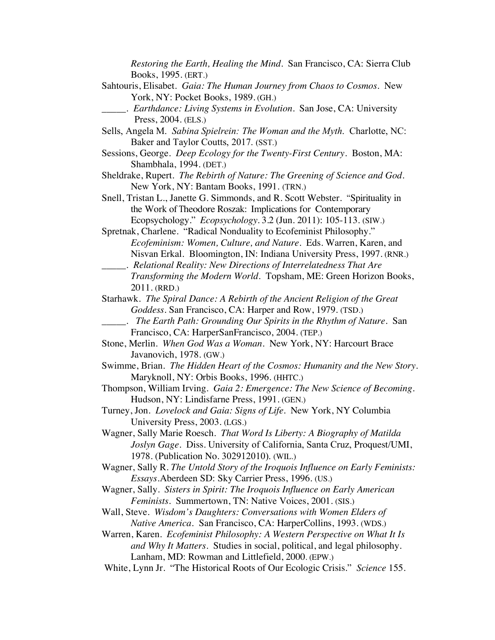*Restoring the Earth, Healing the Mind*. San Francisco, CA: Sierra Club Books, 1995. (ERT.)

- Sahtouris, Elisabet. *Gaia: The Human Journey from Chaos to Cosmos*. New York, NY: Pocket Books, 1989. (GH.)
	- \_\_\_\_\_. *Earthdance: Living Systems in Evolution*. San Jose, CA: University Press, 2004. (ELS.)
- Sells, Angela M. *Sabina Spielrein: The Woman and the Myth*. Charlotte, NC: Baker and Taylor Coutts, 2017. (SST.)
- Sessions, George. *Deep Ecology for the Twenty-First Century*. Boston, MA: Shambhala, 1994. (DET.)
- Sheldrake, Rupert. *The Rebirth of Nature: The Greening of Science and God*. New York, NY: Bantam Books, 1991. (TRN.)
- Snell, Tristan L., Janette G. Simmonds, and R. Scott Webster. "Spirituality in the Work of Theodore Roszak: Implications for Contemporary Ecopsychology." *Ecopsychology*. 3.2 (Jun. 2011): 105-113. (SIW.)
- Spretnak, Charlene. "Radical Nonduality to Ecofeminist Philosophy." *Ecofeminism: Women, Culture, and Nature*. Eds. Warren, Karen, and Nisvan Erkal. Bloomington, IN: Indiana University Press, 1997. (RNR.)
- \_\_\_\_\_. *Relational Reality: New Directions of Interrelatedness That Are Transforming the Modern World*. Topsham, ME: Green Horizon Books, 2011. (RRD.)

Starhawk. *The Spiral Dance: A Rebirth of the Ancient Religion of the Great Goddess.* San Francisco, CA: Harper and Row, 1979. (TSD.)

- \_\_\_\_\_. *The Earth Path: Grounding Our Spirits in the Rhythm of Nature*. San Francisco, CA: HarperSanFrancisco, 2004. (TEP.)
- Stone, Merlin. *When God Was a Woman*. New York, NY: Harcourt Brace Javanovich, 1978. (GW.)
- Swimme, Brian. *The Hidden Heart of the Cosmos: Humanity and the New Story*. Maryknoll, NY: Orbis Books, 1996. (HHTC.)
- Thompson, William Irving. *Gaia 2: Emergence: The New Science of Becoming.* Hudson, NY: Lindisfarne Press, 1991. (GEN.)
- Turney, Jon. *Lovelock and Gaia: Signs of Life.* New York, NY Columbia University Press, 2003. (LGS.)
- Wagner, Sally Marie Roesch. *That Word Is Liberty: A Biography of Matilda Joslyn Gage*. Diss. University of California, Santa Cruz, Proquest/UMI, 1978. (Publication No. 302912010). (WIL.)
- Wagner, Sally R. *The Untold Story of the Iroquois Influence on Early Feminists: Essays*.Aberdeen SD: Sky Carrier Press, 1996. (US.)
- Wagner, Sally. *Sisters in Spirit: The Iroquois Influence on Early American Feminists*. Summertown, TN: Native Voices, 2001. (SIS.)
- Wall, Steve. *Wisdom's Daughters: Conversations with Women Elders of Native America.* San Francisco, CA: HarperCollins, 1993. (WDS.)
- Warren, Karen. *Ecofeminist Philosophy: A Western Perspective on What It Is and Why It Matters*. Studies in social, political, and legal philosophy. Lanham, MD: Rowman and Littlefield, 2000. (EPW.)
- White, Lynn Jr. "The Historical Roots of Our Ecologic Crisis." *Science* 155.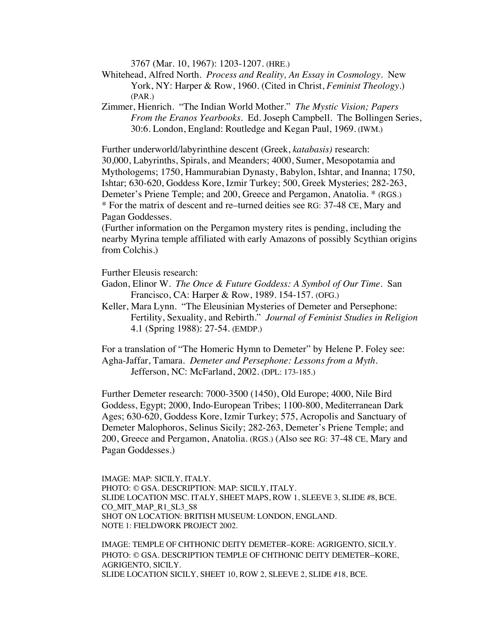3767 (Mar. 10, 1967): 1203-1207. (HRE.)

- Whitehead, Alfred North. *Process and Reality, An Essay in Cosmology.* New York, NY: Harper & Row, 1960. (Cited in Christ, *Feminist Theology*.) (PAR.)
- Zimmer, Hienrich. "The Indian World Mother." *The Mystic Vision; Papers From the Eranos Yearbooks.* Ed. Joseph Campbell. The Bollingen Series, 30:6. London, England: Routledge and Kegan Paul, 1969. (IWM.)

Further underworld/labyrinthine descent (Greek, *katabasis)* research: 30,000, Labyrinths, Spirals, and Meanders; 4000, Sumer, Mesopotamia and Mythologems; 1750, Hammurabian Dynasty, Babylon, Ishtar, and Inanna; 1750, Ishtar; 630-620, Goddess Kore, Izmir Turkey; 500, Greek Mysteries; 282-263, Demeter's Priene Temple; and 200, Greece and Pergamon, Anatolia. \* (RGS.) \* For the matrix of descent and re–turned deities see RG: 37-48 CE, Mary and Pagan Goddesses.

(Further information on the Pergamon mystery rites is pending, including the nearby Myrina temple affiliated with early Amazons of possibly Scythian origins from Colchis.)

Further Eleusis research:

- Gadon, Elinor W. *The Once & Future Goddess: A Symbol of Our Time.* San Francisco, CA: Harper & Row, 1989. 154-157. (OFG.)
- Keller, Mara Lynn. "The Eleusinian Mysteries of Demeter and Persephone: Fertility, Sexuality, and Rebirth." *Journal of Feminist Studies in Religion* 4.1 (Spring 1988): 27-54. (EMDP.)

For a translation of "The Homeric Hymn to Demeter" by Helene P. Foley see: Agha-Jaffar, Tamara. *Demeter and Persephone: Lessons from a Myth*. Jefferson, NC: McFarland, 2002. (DPL: 173-185.)

Further Demeter research: 7000-3500 (1450), Old Europe; 4000, Nile Bird Goddess, Egypt; 2000, Indo-European Tribes; 1100-800, Mediterranean Dark Ages; 630-620, Goddess Kore, Izmir Turkey; 575, Acropolis and Sanctuary of Demeter Malophoros, Selinus Sicily; 282-263, Demeter's Priene Temple; and 200, Greece and Pergamon, Anatolia. (RGS.) (Also see RG: 37-48 CE, Mary and Pagan Goddesses.)

IMAGE: MAP: SICILY, ITALY. PHOTO: © GSA. DESCRIPTION: MAP: SICILY, ITALY. SLIDE LOCATION MSC. ITALY, SHEET MAPS, ROW 1, SLEEVE 3, SLIDE #8, BCE. CO\_MIT\_MAP\_R1\_SL3\_S8 SHOT ON LOCATION: BRITISH MUSEUM: LONDON, ENGLAND. NOTE 1: FIELDWORK PROJECT 2002.

IMAGE: TEMPLE OF CHTHONIC DEITY DEMETER–KORE: AGRIGENTO, SICILY. PHOTO: © GSA. DESCRIPTION TEMPLE OF CHTHONIC DEITY DEMETER–KORE, AGRIGENTO, SICILY. SLIDE LOCATION SICILY, SHEET 10, ROW 2, SLEEVE 2, SLIDE #18, BCE.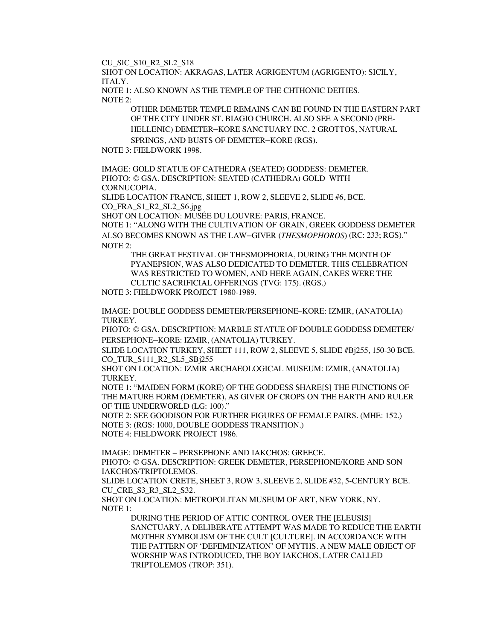CU\_SIC\_S10\_R2\_SL2\_S18

SHOT ON LOCATION: AKRAGAS, LATER AGRIGENTUM (AGRIGENTO): SICILY, ITALY.

NOTE 1: ALSO KNOWN AS THE TEMPLE OF THE CHTHONIC DEITIES. NOTE 2:

> OTHER DEMETER TEMPLE REMAINS CAN BE FOUND IN THE EASTERN PART OF THE CITY UNDER ST. BIAGIO CHURCH. ALSO SEE A SECOND (PRE-HELLENIC) DEMETER–KORE SANCTUARY INC. 2 GROTTOS, NATURAL SPRINGS, AND BUSTS OF DEMETER–KORE (RGS).

NOTE 3: FIELDWORK 1998.

IMAGE: GOLD STATUE OF CATHEDRA (SEATED) GODDESS: DEMETER. PHOTO: © GSA. DESCRIPTION: SEATED (CATHEDRA) GOLD WITH CORNUCOPIA.

SLIDE LOCATION FRANCE, SHEET 1, ROW 2, SLEEVE 2, SLIDE #6, BCE. CO\_FRA\_S1\_R2\_SL2\_S6.jpg

SHOT ON LOCATION: MUSÉE DU LOUVRE: PARIS, FRANCE.

NOTE 1: "ALONG WITH THE CULTIVATION OF GRAIN, GREEK GODDESS DEMETER ALSO BECOMES KNOWN AS THE LAW–GIVER (*THESMOPHOROS*) (RC: 233; RGS)." NOTE 2:

THE GREAT FESTIVAL OF THESMOPHORIA, DURING THE MONTH OF PYANEPSION, WAS ALSO DEDICATED TO DEMETER. THIS CELEBRATION WAS RESTRICTED TO WOMEN, AND HERE AGAIN, CAKES WERE THE CULTIC SACRIFICIAL OFFERINGS (TVG: 175). (RGS.)

NOTE 3: FIELDWORK PROJECT 1980-1989.

IMAGE: DOUBLE GODDESS DEMETER/PERSEPHONE–KORE: IZMIR, (ANATOLIA) TURKEY.

PHOTO: © GSA. DESCRIPTION: MARBLE STATUE OF DOUBLE GODDESS DEMETER/ PERSEPHONE–KORE: IZMIR, (ANATOLIA) TURKEY.

SLIDE LOCATION TURKEY, SHEET 111, ROW 2, SLEEVE 5, SLIDE #Bj255, 150-30 BCE. CO\_TUR\_S111\_R2\_SL5\_SBj255

SHOT ON LOCATION: IZMIR ARCHAEOLOGICAL MUSEUM: IZMIR, (ANATOLIA) TURKEY.

NOTE 1: "MAIDEN FORM (KORE) OF THE GODDESS SHARE[S] THE FUNCTIONS OF THE MATURE FORM (DEMETER), AS GIVER OF CROPS ON THE EARTH AND RULER OF THE UNDERWORLD (LG: 100)."

NOTE 2: SEE GOODISON FOR FURTHER FIGURES OF FEMALE PAIRS. (MHE: 152.) NOTE 3: (RGS: 1000, DOUBLE GODDESS TRANSITION.) NOTE 4: FIELDWORK PROJECT 1986.

IMAGE: DEMETER – PERSEPHONE AND IAKCHOS: GREECE. PHOTO: © GSA. DESCRIPTION: GREEK DEMETER, PERSEPHONE/KORE AND SON IAKCHOS/TRIPTOLEMOS.

SLIDE LOCATION CRETE, SHEET 3, ROW 3, SLEEVE 2, SLIDE #32, 5-CENTURY BCE. CU\_CRE\_S3\_R3\_SL2\_S32.

SHOT ON LOCATION: METROPOLITAN MUSEUM OF ART, NEW YORK, NY. NOTE 1:

DURING THE PERIOD OF ATTIC CONTROL OVER THE [ELEUSIS] SANCTUARY, A DELIBERATE ATTEMPT WAS MADE TO REDUCE THE EARTH MOTHER SYMBOLISM OF THE CULT [CULTURE]. IN ACCORDANCE WITH THE PATTERN OF 'DEFEMINIZATION' OF MYTHS. A NEW MALE OBJECT OF WORSHIP WAS INTRODUCED, THE BOY IAKCHOS, LATER CALLED TRIPTOLEMOS (TROP: 351).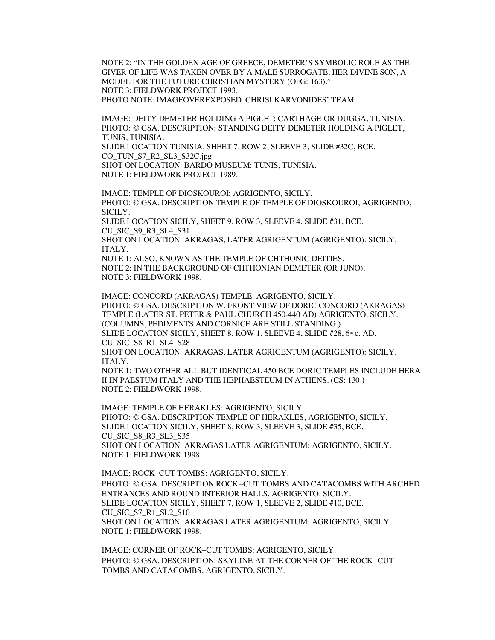NOTE 2: "IN THE GOLDEN AGE OF GREECE, DEMETER'S SYMBOLIC ROLE AS THE GIVER OF LIFE WAS TAKEN OVER BY A MALE SURROGATE, HER DIVINE SON, A MODEL FOR THE FUTURE CHRISTIAN MYSTERY (OFG: 163)." NOTE 3: FIELDWORK PROJECT 1993. PHOTO NOTE: IMAGEOVEREXPOSED ,CHRISI KARVONIDES' TEAM.

IMAGE: DEITY DEMETER HOLDING A PIGLET: CARTHAGE OR DUGGA, TUNISIA. PHOTO: © GSA. DESCRIPTION: STANDING DEITY DEMETER HOLDING A PIGLET, TUNIS, TUNISIA.

SLIDE LOCATION TUNISIA, SHEET 7, ROW 2, SLEEVE 3, SLIDE #32C, BCE. CO\_TUN\_S7\_R2\_SL3\_S32C.jpg

SHOT ON LOCATION: BARDO MUSEUM: TUNIS, TUNISIA. NOTE 1: FIELDWORK PROJECT 1989.

IMAGE: TEMPLE OF DIOSKOUROI: AGRIGENTO, SICILY. PHOTO: © GSA. DESCRIPTION TEMPLE OF TEMPLE OF DIOSKOUROI, AGRIGENTO, SICILY. SLIDE LOCATION SICILY, SHEET 9, ROW 3, SLEEVE 4, SLIDE #31, BCE. CU\_SIC\_S9\_R3\_SL4\_S31 SHOT ON LOCATION: AKRAGAS, LATER AGRIGENTUM (AGRIGENTO): SICILY, ITALY. NOTE 1: ALSO, KNOWN AS THE TEMPLE OF CHTHONIC DEITIES. NOTE 2: IN THE BACKGROUND OF CHTHONIAN DEMETER (OR JUNO). NOTE 3: FIELDWORK 1998.

IMAGE: CONCORD (AKRAGAS) TEMPLE: AGRIGENTO, SICILY. PHOTO: © GSA. DESCRIPTION W. FRONT VIEW OF DORIC CONCORD (AKRAGAS) TEMPLE (LATER ST. PETER & PAUL CHURCH 450-440 AD) AGRIGENTO, SICILY. (COLUMNS, PEDIMENTS AND CORNICE ARE STILL STANDING.) SLIDE LOCATION SICILY, SHEET 8, ROW 1, SLEEVE 4, SLIDE #28, 6TH c. AD. CU\_SIC\_S8\_R1\_SL4\_S28 SHOT ON LOCATION: AKRAGAS, LATER AGRIGENTUM (AGRIGENTO): SICILY, ITALY. NOTE 1: TWO OTHER ALL BUT IDENTICAL 450 BCE DORIC TEMPLES INCLUDE HERA

II IN PAESTUM ITALY AND THE HEPHAESTEUM IN ATHENS. (CS: 130.) NOTE 2: FIELDWORK 1998.

IMAGE: TEMPLE OF HERAKLES: AGRIGENTO, SICILY. PHOTO: © GSA. DESCRIPTION TEMPLE OF HERAKLES, AGRIGENTO, SICILY. SLIDE LOCATION SICILY, SHEET 8, ROW 3, SLEEVE 3, SLIDE #35, BCE. CU\_SIC\_S8\_R3\_SL3\_S35 SHOT ON LOCATION: AKRAGAS LATER AGRIGENTUM: AGRIGENTO, SICILY. NOTE 1: FIELDWORK 1998.

IMAGE: ROCK–CUT TOMBS: AGRIGENTO, SICILY. PHOTO: © GSA. DESCRIPTION ROCK–CUT TOMBS AND CATACOMBS WITH ARCHED ENTRANCES AND ROUND INTERIOR HALLS, AGRIGENTO, SICILY. SLIDE LOCATION SICILY, SHEET 7, ROW 1, SLEEVE 2, SLIDE #10, BCE. CU\_SIC\_S7\_R1\_SL2\_S10 SHOT ON LOCATION: AKRAGAS LATER AGRIGENTUM: AGRIGENTO, SICILY. NOTE 1: FIELDWORK 1998.

IMAGE: CORNER OF ROCK–CUT TOMBS: AGRIGENTO, SICILY. PHOTO: © GSA. DESCRIPTION: SKYLINE AT THE CORNER OF THE ROCK–CUT TOMBS AND CATACOMBS, AGRIGENTO, SICILY.